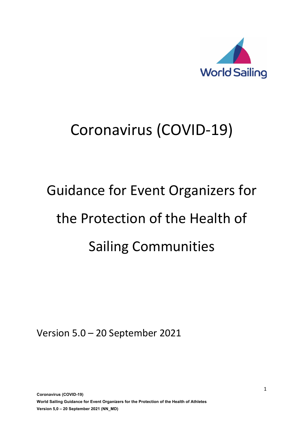

# Coronavirus (COVID-19)

# Guidance for Event Organizers for the Protection of the Health of Sailing Communities

Version 5.0 – 20 September 2021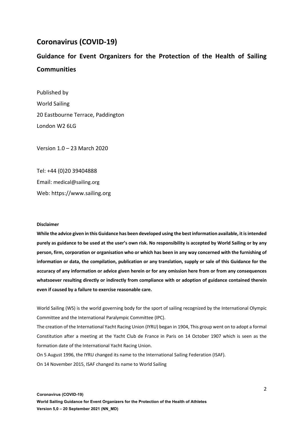#### **Coronavirus (COVID-19)**

### **Guidance for Event Organizers for the Protection of the Health of Sailing Communities**

Published by World Sailing 20 Eastbourne Terrace, Paddington London W2 6LG

Version 1.0 – 23 March 2020

Tel: +44 (0)20 39404888 Email: medical@sailing.org Web: https://www.sailing.org

#### **Disclaimer**

**While the advice given in this Guidance has been developed using the best information available, it is intended purely as guidance to be used at the user's own risk. No responsibility is accepted by World Sailing or by any person, firm, corporation or organisation who or which has been in any way concerned with the furnishing of information or data, the compilation, publication or any translation, supply or sale of this Guidance for the accuracy of any information or advice given herein or for any omission here from or from any consequences whatsoever resulting directly or indirectly from compliance with or adoption of guidance contained therein even if caused by a failure to exercise reasonable care.**

World Sailing (WS) is the world governing body for the sport of sailing recognized by the International Olympic Committee and the International Paralympic Committee (IPC).

The creation of the International Yacht Racing Union (IYRU) began in 1904, This group went on to adopt a formal Constitution after a meeting at the Yacht Club de France in Paris on 14 October 1907 which is seen as the formation date of the International Yacht Racing Union.

On 5 August 1996, the IYRU changed its name to the International Sailing Federation (ISAF).

On 14 November 2015, ISAF changed its name to World Sailing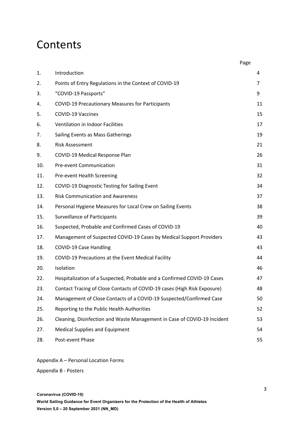### **Contents**

|     |                                                                          | Page |    |
|-----|--------------------------------------------------------------------------|------|----|
| 1.  | Introduction                                                             |      | 4  |
| 2.  | Points of Entry Regulations in the Context of COVID-19                   |      | 7  |
| 3.  | "COVID-19 Passports"                                                     |      | 9  |
| 4.  | <b>COVID-19 Precautionary Measures for Participants</b>                  |      | 11 |
| 5.  | <b>COVID-19 Vaccines</b>                                                 |      | 15 |
| 6.  | Ventilation in Indoor Facilities                                         |      | 17 |
| 7.  | Sailing Events as Mass Gatherings                                        |      | 19 |
| 8.  | <b>Risk Assessment</b>                                                   |      | 21 |
| 9.  | COVID-19 Medical Response Plan                                           |      | 26 |
| 10. | <b>Pre-event Communication</b>                                           |      | 31 |
| 11. | Pre-event Health Screening                                               |      | 32 |
| 12. | <b>COVID-19 Diagnostic Testing for Sailing Event</b>                     |      | 34 |
| 13. | <b>Risk Communication and Awareness</b>                                  |      | 37 |
| 14. | Personal Hygiene Measures for Local Crew on Sailing Events               |      | 38 |
| 15. | <b>Surveillance of Participants</b>                                      |      | 39 |
| 16. | Suspected, Probable and Confirmed Cases of COVID-19                      |      | 40 |
| 17. | Management of Suspected COVID-19 Cases by Medical Support Providers      |      | 43 |
| 18. | <b>COVID-19 Case Handling</b>                                            |      | 43 |
| 19. | COVID-19 Precautions at the Event Medical Facility                       |      | 44 |
| 20. | Isolation                                                                |      | 46 |
| 22. | Hospitalization of a Suspected, Probable and a Confirmed COVID-19 Cases  |      | 47 |
| 23. | Contact Tracing of Close Contacts of COVID-19 cases (High Risk Exposure) |      | 48 |
| 24. | Management of Close Contacts of a COVID-19 Suspected/Confirmed Case      |      | 50 |
| 25. | Reporting to the Public Health Authorities                               |      | 52 |
| 26. | Cleaning, Disinfection and Waste Management in Case of COVID-19 Incident |      | 53 |
| 27. | <b>Medical Supplies and Equipment</b>                                    |      | 54 |
| 28. | Post-event Phase                                                         |      | 55 |

Appendix A – Personal Location Forms

Appendix B - Posters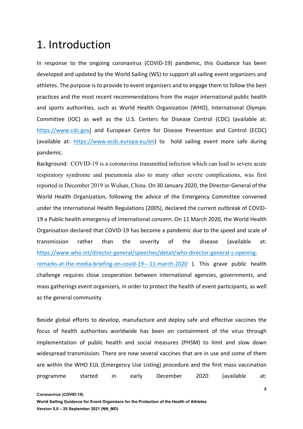### 1. Introduction

In response to the ongoing coronavirus (COVID-19) pandemic, this Guidance has been developed and updated by the World Sailing (WS) to support all sailing event organizers and athletes. The purpose is to provide to event organizers and to engage them to follow the best practices and the most recent recommendations from the major international public health and sports authorities, such as World Health Organization (WHO), International Olympic Committee (IOC) as well as the U.S. Centers for Disease Control (CDC) (available at: https://www.cdc.gov) and European Centre for Disease Prevention and Control (ECDC) (available at: https://www.ecdc.europa.eu/en) to hold sailing event more safe during pandemic.

Background: COVID-19 is a coronavirus transmitted infection which can lead to severe acute respiratory syndrome and pneumonia also to many other severe complications, was first reported in December 2019 in Wuhan, China. On 30 January 2020, the Director-General of the World Health Organization, following the advice of the Emergency Committee convened under the International Health Regulations (2005), declared the current outbreak of COVID-19 a Public health emergency of international concern. On 11 March 2020, the World Health Organisation declared that COVID-19 has become a pandemic due to the speed and scale of transmission rather than the severity of the disease (available at: https://www.who.int/director-general/speeches/detail/who-director-general-s-openingremarks-at-the-media-briefing-on-covid-19---11-march-2020 ). This grave public health challenge requires close cooperation between international agencies, governments, and mass gatherings event organizers, in order to protect the health of event participants, as well as the general community.

Beside global efforts to develop, manufacture and deploy safe and effective vaccines the focus of health authorities worldwide has been on containment of the virus through implementation of public health and social measures (PHSM) to limit and slow down widespread transmission. There are now several vaccines that are in use and some of them are within the WHO EUL (Emergency Use Listing) procedure and the first mass vaccination programme started in early December 2020 (available at: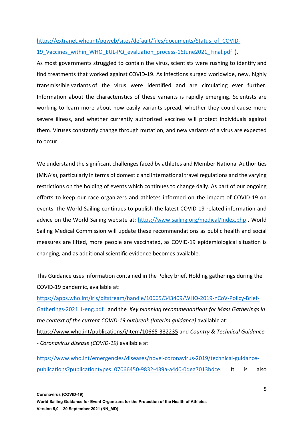#### https://extranet.who.int/pqweb/sites/default/files/documents/Status\_of\_COVID-19 Vaccines within WHO EUL-PQ evaluation process-16June2021 Final.pdf ).

As most governments struggled to contain the virus, scientists were rushing to identify and find treatments that worked against COVID-19. As infections surged worldwide, new, highly transmissible variants of the virus were identified and are circulating ever further. Information about the characteristics of these variants is rapidly emerging. Scientists are working to learn more about how easily variants spread, whether they could cause more severe illness, and whether currently authorized vaccines will protect individuals against them. Viruses constantly change through mutation, and new variants of a virus are expected to occur.

We understand the significant challenges faced by athletes and Member National Authorities (MNA's), particularly in terms of domestic and international travel regulations and the varying restrictions on the holding of events which continues to change daily. As part of our ongoing efforts to keep our race organizers and athletes informed on the impact of COVID-19 on events, the World Sailing continues to publish the latest COVID-19 related information and advice on the World Sailing website at: https://www.sailing.org/medical/index.php . World Sailing Medical Commission will update these recommendations as public health and social measures are lifted, more people are vaccinated, as COVID-19 epidemiological situation is changing, and as additional scientific evidence becomes available.

This Guidance uses information contained in the Policy brief, Holding gatherings during the COVID-19 pandemic, available at:

https://apps.who.int/iris/bitstream/handle/10665/343409/WHO-2019-nCoV-Policy-Brief-Gatherings-2021.1-eng.pdf and the *Key planning recommendations for Mass Gatherings in the context of the current COVID-19 outbreak (Interim guidance)* available at: https://www.who.int/publications/i/item/10665-332235 and *Country & Technical Guidance - Coronavirus disease (COVID-19)* available at:

https://www.who.int/emergencies/diseases/novel-coronavirus-2019/technical-guidancepublications?publicationtypes=07066450-9832-439a-a4d0-0dea7013bdce. It is also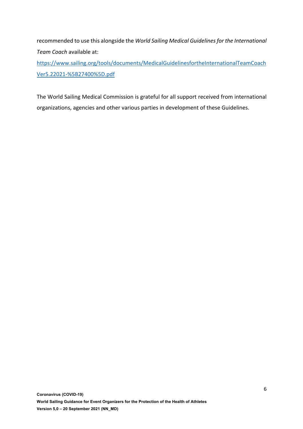recommended to use this alongside the *World Sailing Medical Guidelines for the International Team Coach* available at:

https://www.sailing.org/tools/documents/MedicalGuidelinesfortheInternationalTeamCoach Ver5.22021-%5B27400%5D.pdf

The World Sailing Medical Commission is grateful for all support received from international organizations, agencies and other various parties in development of these Guidelines.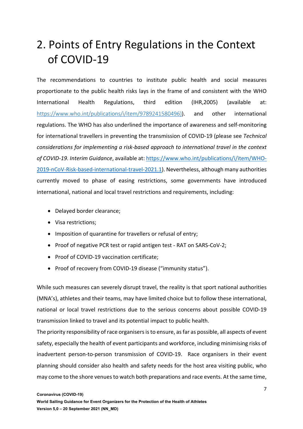# 2. Points of Entry Regulations in the Context of COVID-19

The recommendations to countries to institute public health and social measures proportionate to the public health risks lays in the frame of and consistent with the WHO International Health Regulations, third edition (IHR,2005) (available at: https://www.who.int/publications/i/item/9789241580496). and other international regulations. The WHO has also underlined the importance of awareness and self-monitoring for international travellers in preventing the transmission of COVID-19 (please see *Technical considerations for implementing a risk-based approach to international travel in the context of COVID-19. Interim Guidance*, available at: https://www.who.int/publications/i/item/WHO-2019-nCoV-Risk-based-international-travel-2021.1). Nevertheless, although many authorities currently moved to phase of easing restrictions, some governments have introduced international, national and local travel restrictions and requirements, including:

- Delayed border clearance;
- Visa restrictions;
- Imposition of quarantine for travellers or refusal of entry;
- Proof of negative PCR test or rapid antigen test RAT on SARS-CoV-2;
- Proof of COVID-19 vaccination certificate;
- Proof of recovery from COVID-19 disease ("immunity status").

While such measures can severely disrupt travel, the reality is that sport national authorities (MNA's), athletes and their teams, may have limited choice but to follow these international, national or local travel restrictions due to the serious concerns about possible COVID-19 transmission linked to travel and its potential impact to public health.

The priority responsibility of race organisers is to ensure, as far as possible, all aspects of event safety, especially the health of event participants and workforce, including minimising risks of inadvertent person-to-person transmission of COVID-19. Race organisers in their event planning should consider also health and safety needs for the host area visiting public, who may come to the shore venues to watch both preparations and race events. At the same time,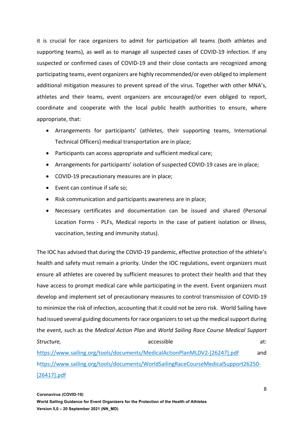it is crucial for race organizers to admit for participation all teams (both athletes and supporting teams), as well as to manage all suspected cases of COVID-19 infection. If any suspected or confirmed cases of COVID-19 and their close contacts are recognized among participating teams, event organizers are highly recommended/or even obliged to implement additional mitigation measures to prevent spread of the virus. Together with other MNA's, athletes and their teams, event organizers are encouraged/or even obliged to report, coordinate and cooperate with the local public health authorities to ensure, where appropriate, that:

- Arrangements for participants' (athletes, their supporting teams, International Technical Officers) medical transportation are in place;
- Participants can access appropriate and sufficient medical care;
- Arrangements for participants' isolation of suspected COVID-19 cases are in place;
- COVID-19 precautionary measures are in place;
- Event can continue if safe so;
- Risk communication and participants awareness are in place;
- Necessary certificates and documentation can be issued and shared (Personal Location Forms - PLFs, Medical reports in the case of patient isolation or illness, vaccination, testing and immunity status).

The IOC has advised that during the COVID-19 pandemic, effective protection of the athlete's health and safety must remain a priority. Under the IOC regulations, event organizers must ensure all athletes are covered by sufficient measures to protect their health and that they have access to prompt medical care while participating in the event. Event organizers must develop and implement set of precautionary measures to control transmission of COVID-19 to minimize the risk of infection, accounting that it could not be zero risk. World Sailing have had issued several guiding documents for race organizers to set up the medical support during the event, such as the *Medical Action Plan* and *World Sailing Race Course Medical Support*  **Structure,** and a structure, and a structure, at: a structure, at: a structure at: a structure at:

https://www.sailing.org/tools/documents/MedicalActionPlanMLDV2-[26247].pdf and https://www.sailing.org/tools/documents/WorldSailingRaceCourseMedicalSupport26250- [26417].pdf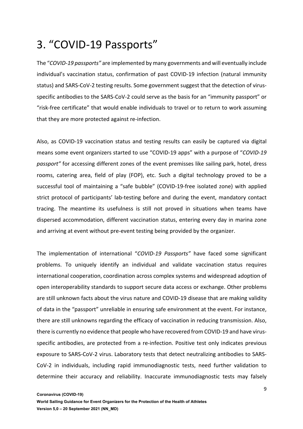### 3. "COVID-19 Passports"

The "*COVID-19 passports"* are implemented by many governments and will eventually include individual's vaccination status, confirmation of past COVID-19 infection (natural immunity status) and SARS-CoV-2 testing results. Some government suggest that the detection of virusspecific antibodies to the SARS-CoV-2 could serve as the basis for an "immunity passport" or "risk-free certificate" that would enable individuals to travel or to return to work assuming that they are more protected against re-infection.

Also, as COVID-19 vaccination status and testing results can easily be captured via digital means some event organizers started to use "COVID-19 apps" with a purpose of "*COVID-19 passport"* for accessing different zones of the event premisses like sailing park, hotel, dress rooms, catering area, field of play (FOP), etc. Such a digital technology proved to be a successful tool of maintaining a "safe bubble" (COVID-19-free isolated zone) with applied strict protocol of participants' lab-testing before and during the event, mandatory contact tracing. The meantime its usefulness is still not proved in situations when teams have dispersed accommodation, different vaccination status, entering every day in marina zone and arriving at event without pre-event testing being provided by the organizer.

The implementation of international "*COVID-19 Passports"* have faced some significant problems. To uniquely identify an individual and validate vaccination status requires international cooperation, coordination across complex systems and widespread adoption of open interoperability standards to support secure data access or exchange. Other problems are still unknown facts about the virus nature and COVID-19 disease that are making validity of data in the "passport" unreliable in ensuring safe environment at the event. For instance, there are still unknowns regarding the efficacy of vaccination in reducing transmission. Also, there is currently no evidence that people who have recovered from COVID-19 and have virusspecific antibodies, are protected from a re-infection. Positive test only indicates previous exposure to SARS-CoV-2 virus. Laboratory tests that detect neutralizing antibodies to SARS-CoV-2 in individuals, including rapid immunodiagnostic tests, need further validation to determine their accuracy and reliability. Inaccurate immunodiagnostic tests may falsely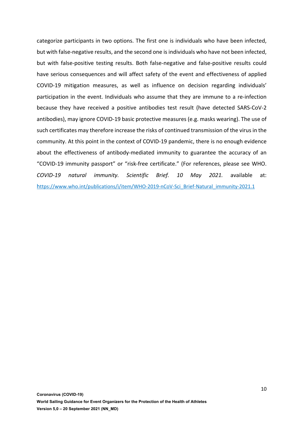categorize participants in two options. The first one is individuals who have been infected, but with false-negative results, and the second one is individuals who have not been infected, but with false-positive testing results. Both false-negative and false-positive results could have serious consequences and will affect safety of the event and effectiveness of applied COVID-19 mitigation measures, as well as influence on decision regarding individuals' participation in the event. Individuals who assume that they are immune to a re-infection because they have received a positive antibodies test result (have detected SARS-CoV-2 antibodies), may ignore COVID-19 basic protective measures (e.g. masks wearing). The use of such certificates may therefore increase the risks of continued transmission of the virus in the community. At this point in the context of COVID-19 pandemic, there is no enough evidence about the effectiveness of antibody-mediated immunity to guarantee the accuracy of an "COVID-19 immunity passport" or "risk-free certificate." (For references, please see WHO. *COVID-19 natural immunity. Scientific Brief. 10 May 2021.* available at: https://www.who.int/publications/i/item/WHO-2019-nCoV-Sci\_Brief-Natural\_immunity-2021.1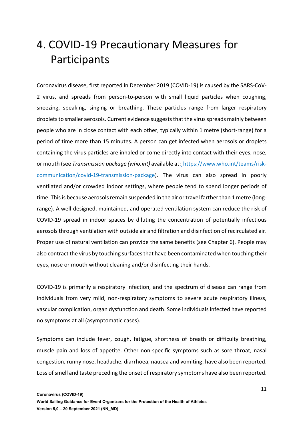### 4. COVID-19 Precautionary Measures for Participants

Coronavirus disease, first reported in December 2019 (COVID-19) is caused by the SARS-CoV-2 virus, and spreads from person-to-person with small liquid particles when coughing, sneezing, speaking, singing or breathing. These particles range from larger respiratory droplets to smaller aerosols. Current evidence suggests that the virus spreads mainly between people who are in close contact with each other, typically within 1 metre (short-range) for a period of time more than 15 minutes. A person can get infected when aerosols or droplets containing the virus particles are inhaled or come directly into contact with their eyes, nose, or mouth (see *Transmission package (who.int)* available at: https://www.who.int/teams/riskcommunication/covid-19-transmission-package). The virus can also spread in poorly ventilated and/or crowded indoor settings, where people tend to spend longer periods of time. This is because aerosols remain suspended in the air or travel farther than 1 metre (longrange). A well-designed, maintained, and operated ventilation system can reduce the risk of COVID-19 spread in indoor spaces by diluting the concentration of potentially infectious aerosols through ventilation with outside air and filtration and disinfection of recirculated air. Proper use of natural ventilation can provide the same benefits (see Chapter 6). People may also contract the virus by touching surfaces that have been contaminated when touching their eyes, nose or mouth without cleaning and/or disinfecting their hands.

COVID-19 is primarily a respiratory infection, and the spectrum of disease can range from individuals from very mild, non-respiratory symptoms to severe acute respiratory illness, vascular complication, organ dysfunction and death. Some individuals infected have reported no symptoms at all (asymptomatic cases).

Symptoms can include fever, cough, fatigue, shortness of breath or difficulty breathing, muscle pain and loss of appetite. Other non-specific symptoms such as sore throat, nasal congestion, runny nose, headache, diarrhoea, nausea and vomiting, have also been reported. Loss of smell and taste preceding the onset of respiratory symptoms have also been reported.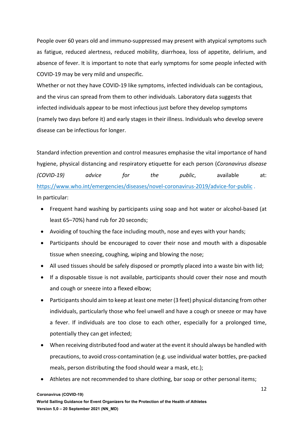People over 60 years old and immuno-suppressed may present with atypical symptoms such as fatigue, reduced alertness, reduced mobility, diarrhoea, loss of appetite, delirium, and absence of fever. It is important to note that early symptoms for some people infected with COVID-19 may be very mild and unspecific.

Whether or not they have COVID-19 like symptoms, infected individuals can be contagious, and the virus can spread from them to other individuals. Laboratory data suggests that infected individuals appear to be most infectious just before they develop symptoms (namely two days before it) and early stages in their illness. Individuals who develop severe disease can be infectious for longer.

Standard infection prevention and control measures emphasise the vital importance of hand hygiene, physical distancing and respiratory etiquette for each person (*Coronavirus disease (COVID-19) advice for the public*, available at: https://www.who.int/emergencies/diseases/novel-coronavirus-2019/advice-for-public . In particular:

- Frequent hand washing by participants using soap and hot water or alcohol-based (at least 65–70%) hand rub for 20 seconds;
- Avoiding of touching the face including mouth, nose and eyes with your hands;
- Participants should be encouraged to cover their nose and mouth with a disposable tissue when sneezing, coughing, wiping and blowing the nose;
- All used tissues should be safely disposed or promptly placed into a waste bin with lid;
- If a disposable tissue is not available, participants should cover their nose and mouth and cough or sneeze into a flexed elbow;
- Participants should aim to keep at least one meter (3 feet) physical distancing from other individuals, particularly those who feel unwell and have a cough or sneeze or may have a fever. If individuals are too close to each other, especially for a prolonged time, potentially they can get infected;
- When receiving distributed food and water at the event it should always be handled with precautions, to avoid cross-contamination (e.g. use individual water bottles, pre-packed meals, person distributing the food should wear a mask, etc.);
- Athletes are not recommended to share clothing, bar soap or other personal items;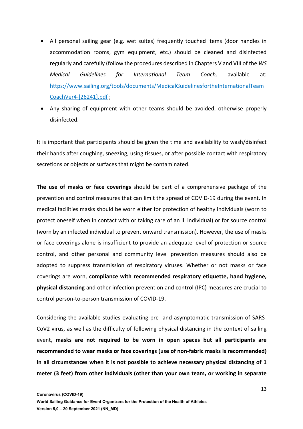- All personal sailing gear (e.g. wet suites) frequently touched items (door handles in accommodation rooms, gym equipment, etc.) should be cleaned and disinfected regularly and carefully (follow the procedures described in Chapters V and VIII of the *WS Medical Guidelines for International Team Coach,* available at: https://www.sailing.org/tools/documents/MedicalGuidelinesfortheInternationalTeam CoachVer4-[26241].pdf ;
- Any sharing of equipment with other teams should be avoided, otherwise properly disinfected.

It is important that participants should be given the time and availability to wash/disinfect their hands after coughing, sneezing, using tissues, or after possible contact with respiratory secretions or objects or surfaces that might be contaminated.

**The use of masks or face coverings** should be part of a comprehensive package of the prevention and control measures that can limit the spread of COVID-19 during the event. In medical facilities masks should be worn either for protection of healthy individuals (worn to protect oneself when in contact with or taking care of an ill individual) or for source control (worn by an infected individual to prevent onward transmission). However, the use of masks or face coverings alone is insufficient to provide an adequate level of protection or source control, and other personal and community level prevention measures should also be adopted to suppress transmission of respiratory viruses. Whether or not masks or face coverings are worn, **compliance with recommended respiratory etiquette, hand hygiene, physical distancing** and other infection prevention and control (IPC) measures are crucial to control person-to-person transmission of COVID-19.

Considering the available studies evaluating pre- and asymptomatic transmission of SARS-CoV2 virus, as well as the difficulty of following physical distancing in the context of sailing event, **masks are not required to be worn in open spaces but all participants are recommended to wear masks or face coverings (use of non-fabric masks is recommended) in all circumstances when it is not possible to achieve necessary physical distancing of 1 meter (3 feet) from other individuals (other than your own team, or working in separate**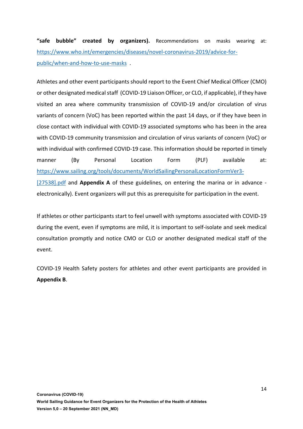**"safe bubble" created by organizers).** Recommendations on masks wearing at: https://www.who.int/emergencies/diseases/novel-coronavirus-2019/advice-forpublic/when-and-how-to-use-masks .

Athletes and other event participants should report to the Event Chief Medical Officer (CMO) or other designated medical staff (COVID-19 Liaison Officer, or CLO, if applicable), if they have visited an area where community transmission of COVID-19 and/or circulation of virus variants of concern (VoC) has been reported within the past 14 days, or if they have been in close contact with individual with COVID-19 associated symptoms who has been in the area with COVID-19 community transmission and circulation of virus variants of concern (VoC) or with individual with confirmed COVID-19 case. This information should be reported in timely manner (By Personal Location Form (PLF) available at: https://www.sailing.org/tools/documents/WorldSailingPersonalLocationFormVer3- [27538].pdf and **Appendix A** of these guidelines, on entering the marina or in advance electronically). Event organizers will put this as prerequisite for participation in the event.

If athletes or other participants start to feel unwell with symptoms associated with COVID-19 during the event, even if symptoms are mild, it is important to self-isolate and seek medical consultation promptly and notice CMO or CLO or another designated medical staff of the event.

COVID-19 Health Safety posters for athletes and other event participants are provided in **Appendix B**.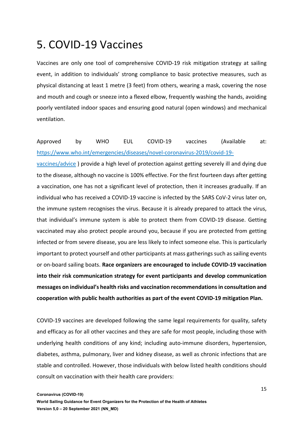### 5. COVID-19 Vaccines

Vaccines are only one tool of comprehensive COVID-19 risk mitigation strategy at sailing event, in addition to individuals' strong compliance to basic protective measures, such as physical distancing at least 1 metre (3 feet) from others, wearing a mask, covering the nose and mouth and cough or sneeze into a flexed elbow, frequently washing the hands, avoiding poorly ventilated indoor spaces and ensuring good natural (open windows) and mechanical ventilation.

#### Approved by WHO EUL COVID-19 vaccines (Available at: https://www.who.int/emergencies/diseases/novel-coronavirus-2019/covid-19-

vaccines/advice ) provide a high level of protection against getting severely ill and dying due to the disease, although no vaccine is 100% effective. For the first fourteen days after getting a vaccination, one has not a significant level of protection, then it increases gradually. If an individual who has received a COVID-19 vaccine is infected by the SARS CoV-2 virus later on, the immune system recognises the virus. Because it is already prepared to attack the virus, that individual's immune system is able to protect them from COVID-19 disease. Getting vaccinated may also protect people around you, because if you are protected from getting infected or from severe disease, you are less likely to infect someone else. This is particularly important to protect yourself and other participants at mass gatherings such as sailing events or on-board sailing boats. **Race organizers are encouraged to include COVID-19 vaccination into their risk communication strategy for event participants and develop communication messages on individual's health risks and vaccination recommendations in consultation and cooperation with public health authorities as part of the event COVID-19 mitigation Plan.**

COVID-19 vaccines are developed following the same legal requirements for quality, safety and efficacy as for all other vaccines and they are safe for most people, including those with underlying health conditions of any kind; including auto-immune disorders, hypertension, diabetes, asthma, pulmonary, liver and kidney disease, as well as chronic infections that are stable and controlled. However, those individuals with below listed health conditions should consult on vaccination with their health care providers: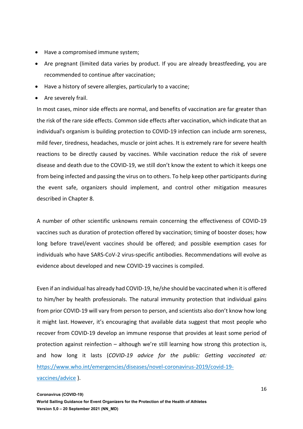- Have a compromised immune system;
- Are pregnant (limited data varies by product. If you are already breastfeeding, you are recommended to continue after vaccination;
- Have a history of severe allergies, particularly to a vaccine;
- Are severely frail.

In most cases, minor side effects are normal, and benefits of vaccination are far greater than the risk of the rare side effects. Common side effects after vaccination, which indicate that an individual's organism is building protection to COVID-19 infection can include arm soreness, mild fever, tiredness, headaches, muscle or joint aches. It is extremely rare for severe health reactions to be directly caused by vaccines. While vaccination reduce the risk of severe disease and death due to the COVID-19, we still don't know the extent to which it keeps one from being infected and passing the virus on to others. To help keep other participants during the event safe, organizers should implement, and control other mitigation measures described in Chapter 8.

A number of other scientific unknowns remain concerning the effectiveness of COVID-19 vaccines such as duration of protection offered by vaccination; timing of booster doses; how long before travel/event vaccines should be offered; and possible exemption cases for individuals who have SARS-CoV-2 virus-specific antibodies. Recommendations will evolve as evidence about developed and new COVID-19 vaccines is compiled.

Even if an individual has already had COVID-19, he/she should be vaccinated when it is offered to him/her by health professionals. The natural immunity protection that individual gains from prior COVID-19 will vary from person to person, and scientists also don't know how long it might last. However, it's encouraging that available data suggest that most people who recover from COVID-19 develop an immune response that provides at least some period of protection against reinfection – although we're still learning how strong this protection is, and how long it lasts (*COVID-19 advice for the public: Getting vaccinated at:*  https://www.who.int/emergencies/diseases/novel-coronavirus-2019/covid-19 vaccines/advice ).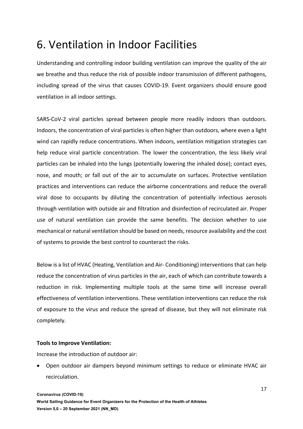## 6. Ventilation in Indoor Facilities

Understanding and controlling indoor building ventilation can improve the quality of the air we breathe and thus reduce the risk of possible indoor transmission of different pathogens, including spread of the virus that causes COVID-19. Event organizers should ensure good ventilation in all indoor settings.

SARS-CoV-2 viral particles spread between people more readily indoors than outdoors. Indoors, the concentration of viral particles is often higher than outdoors, where even a light wind can rapidly reduce concentrations. When indoors, ventilation mitigation strategies can help reduce viral particle concentration. The lower the concentration, the less likely viral particles can be inhaled into the lungs (potentially lowering the inhaled dose); contact eyes, nose, and mouth; or fall out of the air to accumulate on surfaces. Protective ventilation practices and interventions can reduce the airborne concentrations and reduce the overall viral dose to occupants by diluting the concentration of potentially infectious aerosols through ventilation with outside air and filtration and disinfection of recirculated air. Proper use of natural ventilation can provide the same benefits. The decision whether to use mechanical or natural ventilation should be based on needs, resource availability and the cost of systems to provide the best control to counteract the risks.

Below is a list of HVAC (Heating, Ventilation and Air- Conditioning) interventions that can help reduce the concentration of virus particles in the air, each of which can contribute towards a reduction in risk. Implementing multiple tools at the same time will increase overall effectiveness of ventilation interventions. These ventilation interventions can reduce the risk of exposure to the virus and reduce the spread of disease, but they will not eliminate risk completely.

#### **Tools to Improve Ventilation:**

Increase the introduction of outdoor air:

• Open outdoor air dampers beyond minimum settings to reduce or eliminate HVAC air recirculation.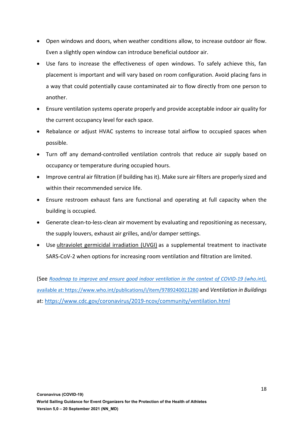- Open windows and doors, when weather conditions allow, to increase outdoor air flow. Even a slightly open window can introduce beneficial outdoor air.
- Use fans to increase the effectiveness of open windows. To safely achieve this, fan placement is important and will vary based on room configuration. Avoid placing fans in a way that could potentially cause contaminated air to flow directly from one person to another.
- Ensure ventilation systems operate properly and provide acceptable indoor air quality for the current occupancy level for each space.
- Rebalance or adjust HVAC systems to increase total airflow to occupied spaces when possible.
- Turn off any demand-controlled ventilation controls that reduce air supply based on occupancy or temperature during occupied hours.
- Improve central air filtration (if building has it). Make sure air filters are properly sized and within their recommended service life.
- Ensure restroom exhaust fans are functional and operating at full capacity when the building is occupied.
- Generate clean-to-less-clean air movement by evaluating and repositioning as necessary, the supply louvers, exhaust air grilles, and/or damper settings.
- Use ultraviolet germicidal irradiation (UVGI) as a supplemental treatment to inactivate SARS-CoV-2 when options for increasing room ventilation and filtration are limited.

(See *Roadmap to improve and ensure good indoor ventilation in the context of COVID-19 (who.int)*, available at: https://www.who.int/publications/i/item/9789240021280 and *Ventilation in Buildings* at: https://www.cdc.gov/coronavirus/2019-ncov/community/ventilation.html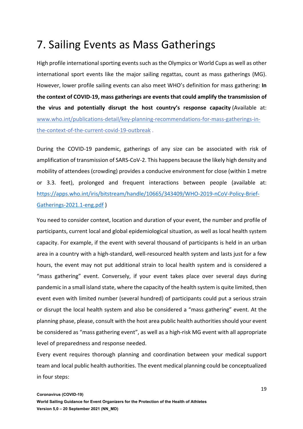### 7. Sailing Events as Mass Gatherings

High profile international sporting events such as the Olympics or World Cups as well as other international sport events like the major sailing regattas, count as mass gatherings (MG). However, lower profile sailing events can also meet WHO's definition for mass gathering: **In the context of COVID-19, mass gatherings are events that could amplify the transmission of the virus and potentially disrupt the host country's response capacity** (Available at: www.who.int/publications-detail/key-planning-recommendations-for-mass-gatherings-inthe-context-of-the-current-covid-19-outbreak .

During the COVID-19 pandemic, gatherings of any size can be associated with risk of amplification of transmission of SARS-CoV-2. This happens because the likely high density and mobility of attendees (crowding) provides a conducive environment for close (within 1 metre or 3.3. feet), prolonged and frequent interactions between people (available at: https://apps.who.int/iris/bitstream/handle/10665/343409/WHO-2019-nCoV-Policy-Brief-Gatherings-2021.1-eng.pdf )

You need to consider context, location and duration of your event, the number and profile of participants, current local and global epidemiological situation, as well as local health system capacity. For example, if the event with several thousand of participants is held in an urban area in a country with a high-standard, well-resourced health system and lasts just for a few hours, the event may not put additional strain to local health system and is considered a "mass gathering" event. Conversely, if your event takes place over several days during pandemic in a small island state, where the capacity of the health system is quite limited, then event even with limited number (several hundred) of participants could put a serious strain or disrupt the local health system and also be considered a "mass gathering" event. At the planning phase, please, consult with the host area public health authorities should your event be considered as "mass gathering event", as well as a high-risk MG event with all appropriate level of preparedness and response needed.

Every event requires thorough planning and coordination between your medical support team and local public health authorities. The event medical planning could be conceptualized in four steps: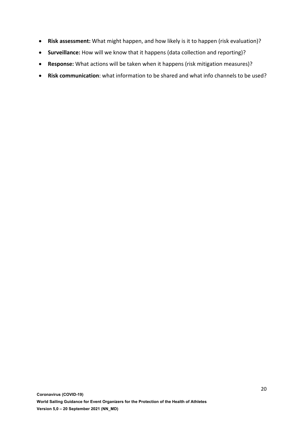- **Risk assessment:** What might happen, and how likely is it to happen (risk evaluation)?
- **Surveillance:** How will we know that it happens (data collection and reporting)?
- **Response:** What actions will be taken when it happens (risk mitigation measures)?
- **Risk communication**: what information to be shared and what info channels to be used?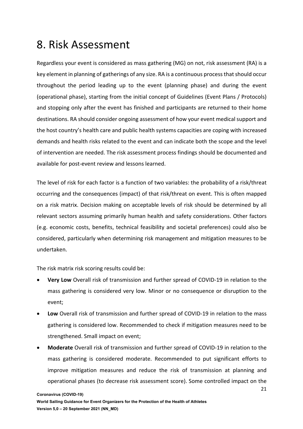### 8. Risk Assessment

Regardless your event is considered as mass gathering (MG) on not, risk assessment (RA) is a key element in planning of gatherings of any size. RA is a continuous process that should occur throughout the period leading up to the event (planning phase) and during the event (operational phase), starting from the initial concept of Guidelines (Event Plans / Protocols) and stopping only after the event has finished and participants are returned to their home destinations. RA should consider ongoing assessment of how your event medical support and the host country's health care and public health systems capacities are coping with increased demands and health risks related to the event and can indicate both the scope and the level of intervention are needed. The risk assessment process findings should be documented and available for post-event review and lessons learned.

The level of risk for each factor is a function of two variables: the probability of a risk/threat occurring and the consequences (impact) of that risk/threat on event. This is often mapped on a risk matrix. Decision making on acceptable levels of risk should be determined by all relevant sectors assuming primarily human health and safety considerations. Other factors (e.g. economic costs, benefits, technical feasibility and societal preferences) could also be considered, particularly when determining risk management and mitigation measures to be undertaken.

The risk matrix risk scoring results could be:

- **Very Low** Overall risk of transmission and further spread of COVID-19 in relation to the mass gathering is considered very low. Minor or no consequence or disruption to the event;
- **Low** Overall risk of transmission and further spread of COVID-19 in relation to the mass gathering is considered low. Recommended to check if mitigation measures need to be strengthened. Small impact on event;
- **Moderate** Overall risk of transmission and further spread of COVID-19 in relation to the mass gathering is considered moderate. Recommended to put significant efforts to improve mitigation measures and reduce the risk of transmission at planning and operational phases (to decrease risk assessment score). Some controlled impact on the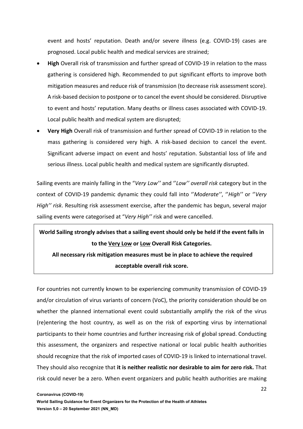event and hosts' reputation. Death and/or severe illness (e.g. COVID-19) cases are prognosed. Local public health and medical services are strained;

- **High** Overall risk of transmission and further spread of COVID-19 in relation to the mass gathering is considered high. Recommended to put significant efforts to improve both mitigation measures and reduce risk of transmission (to decrease risk assessment score). A risk-based decision to postpone or to cancel the event should be considered. Disruptive to event and hosts' reputation. Many deaths or illness cases associated with COVID-19. Local public health and medical system are disrupted;
- **Very High** Overall risk of transmission and further spread of COVID-19 in relation to the mass gathering is considered very high. A risk-based decision to cancel the event. Significant adverse impact on event and hosts' reputation. Substantial loss of life and serious illness. Local public health and medical system are significantly disrupted.

Sailing events are mainly falling in the "*Very Low''* and ''*Low'' overall risk* category but in the context of COVID-19 pandemic dynamic they could fall into ''*Moderate''*, ''*High''* or ''*Very High'' risk*. Resulting risk assessment exercise, after the pandemic has begun, several major sailing events were categorised at "*Very High''* risk and were cancelled.

**World Sailing strongly advises that a sailing event should only be held if the event falls in to the Very Low or Low Overall Risk Categories. All necessary risk mitigation measures must be in place to achieve the required acceptable overall risk score.**

For countries not currently known to be experiencing community transmission of COVID-19 and/or circulation of virus variants of concern (VoC), the priority consideration should be on whether the planned international event could substantially amplify the risk of the virus (re)entering the host country, as well as on the risk of exporting virus by international participants to their home countries and further increasing risk of global spread. Conducting this assessment, the organizers and respective national or local public health authorities should recognize that the risk of imported cases of COVID-19 is linked to international travel. They should also recognize that **it is neither realistic nor desirable to aim for zero risk.** That risk could never be a zero. When event organizers and public health authorities are making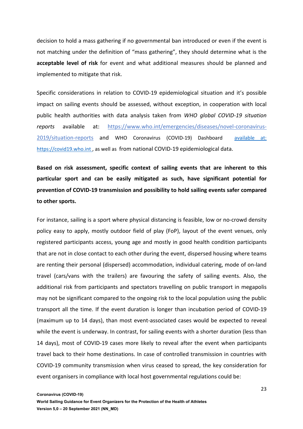decision to hold a mass gathering if no governmental ban introduced or even if the event is not matching under the definition of "mass gathering", they should determine what is the **acceptable level of risk** for event and what additional measures should be planned and implemented to mitigate that risk.

Specific considerations in relation to COVID-19 epidemiological situation and it's possible impact on sailing events should be assessed, without exception, in cooperation with local public health authorities with data analysis taken from *WHO global COVID-19 situation reports* available at: https://www.who.int/emergencies/diseases/novel-coronavirus-2019/situation-reports and WHO Coronavirus (COVID-19) Dashboard available at: https://covid19.who.int , as well as from national COVID-19 epidemiological data.

**Based on risk assessment, specific context of sailing events that are inherent to this particular sport and can be easily mitigated as such, have significant potential for prevention of COVID-19 transmission and possibility to hold sailing events safer compared to other sports.**

For instance, sailing is a sport where physical distancing is feasible, low or no-crowd density policy easy to apply, mostly outdoor field of play (FoP), layout of the event venues, only registered participants access, young age and mostly in good health condition participants that are not in close contact to each other during the event, dispersed housing where teams are renting their personal (dispersed) accommodation, individual catering, mode of on-land travel (cars/vans with the trailers) are favouring the safety of sailing events. Also, the additional risk from participants and spectators travelling on public transport in megapolis may not be significant compared to the ongoing risk to the local population using the public transport all the time. If the event duration is longer than incubation period of COVID-19 (maximum up to 14 days), than most event-associated cases would be expected to reveal while the event is underway. In contrast, for sailing events with a shorter duration (less than 14 days), most of COVID-19 cases more likely to reveal after the event when participants travel back to their home destinations. In case of controlled transmission in countries with COVID-19 community transmission when virus ceased to spread, the key consideration for event organisers in compliance with local host governmental regulations could be: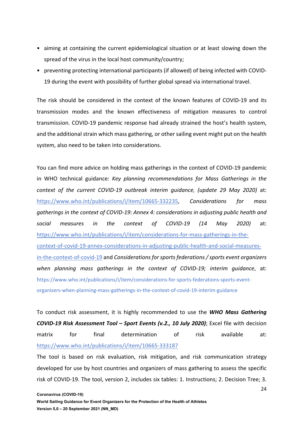- aiming at containing the current epidemiological situation or at least slowing down the spread of the virus in the local host community/country;
- preventing protecting international participants (if allowed) of being infected with COVID-19 during the event with possibility of further global spread via international travel.

The risk should be considered in the context of the known features of COVID-19 and its transmission modes and the known effectiveness of mitigation measures to control transmission. COVID-19 pandemic response had already strained the host's health system, and the additional strain which mass gathering, or other sailing event might put on the health system, also need to be taken into considerations.

You can find more advice on holding mass gatherings in the context of COVID-19 pandemic in WHO technical guidance: *Key planning recommendations for Mass Gatherings in the context of the current COVID-19 outbreak interim guidance, (update 29 May 2020)* at: https://www.who.int/publications/i/item/10665-332235, *Considerations for mass gatherings in the context of COVID-19: Annex 4: considerations in adjusting public health and social measures in the context of COVID-19 (14 May 2020)* at: https://www.who.int/publications/i/item/considerations-for-mass-gatherings-in-thecontext-of-covid-19-annex-considerations-in-adjusting-public-health-and-social-measuresin-the-context-of-covid-19 and *Considerations for sports federations / sports event organizers when planning mass gatherings in the context of COVID-19; interim guidance*, at: https://www.who.int/publications/i/item/considerations-for-sports-federations-sports-eventorganizers-when-planning-mass-gatherings-in-the-context-of-covid-19-interim-guidance

To conduct risk assessment, it is highly recommended to use the *WHO Mass Gathering COVID-19 Risk Assessment Tool – Sport Events (v.2., 10 July 2020)*; Excel file with decision matrix for final determination of risk available at: https://www.who.int/publications/i/item/10665-333187

The tool is based on risk evaluation, risk mitigation, and risk communication strategy developed for use by host countries and organizers of mass gathering to assess the specific risk of COVID-19. The tool, version 2, includes six tables: 1. Instructions; 2. Decision Tree; 3.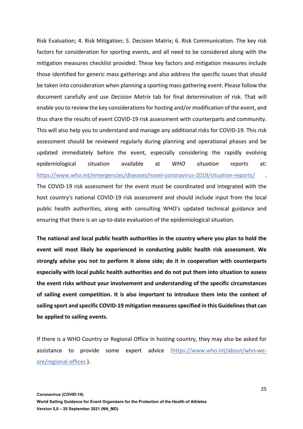Risk Evaluation; 4. Risk Mitigation; 5. Decision Matrix; 6. Risk Communication. The key risk factors for consideration for sporting events, and all need to be considered along with the mitigation measures checklist provided. These key factors and mitigation measures include those identified for generic mass gatherings and also address the specific issues that should be taken into consideration when planning a sporting mass gathering event. Please follow the document carefully and use *Decision Matrix* tab for final determination of risk. That will enable you to review the key considerations for hosting and/or modification of the event, and thus share the results of event COVID-19 risk assessment with counterparts and community. This will also help you to understand and manage any additional risks for COVID-19. This risk assessment should be reviewed regularly during planning and operational phases and be updated immediately before the event, especially considering the rapidly evolving epidemiological situation available at *WHO situation reports* at: https://www.who.int/emergencies/diseases/novel-coronavirus-2019/situation-reports/ . The COVID-19 risk assessment for the event must be coordinated and integrated with the host country's national COVID-19 risk assessment and should include input from the local public health authorities, along with consulting WHO's updated technical guidance and ensuring that there is an up-to-date evaluation of the epidemiological situation.

**The national and local public health authorities in the country where you plan to hold the event will most likely be experienced in conducting public health risk assessment. We strongly advise you not to perform it alone side; do it in cooperation with counterparts especially with local public health authorities and do not put them into situation to assess the event risks without your involvement and understanding of the specific circumstances of sailing event competition. It is also important to introduce them into the context of sailing sport and specific COVID-19 mitigation measures specified in this Guidelines that can be applied to sailing events.** 

If there is a WHO Country or Regional Office in hosting country, they may also be asked for assistance to provide some expert advice (https://www.who.int/about/who-weare/regional-offices ).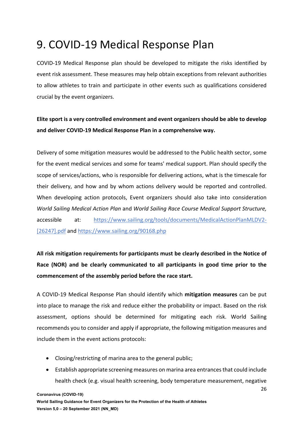### 9. COVID-19 Medical Response Plan

COVID-19 Medical Response plan should be developed to mitigate the risks identified by event risk assessment. These measures may help obtain exceptions from relevant authorities to allow athletes to train and participate in other events such as qualifications considered crucial by the event organizers.

#### **Elite sport is a very controlled environment and event organizers should be able to develop and deliver COVID-19 Medical Response Plan in a comprehensive way.**

Delivery of some mitigation measures would be addressed to the Public health sector, some for the event medical services and some for teams' medical support. Plan should specify the scope of services/actions, who is responsible for delivering actions, what is the timescale for their delivery, and how and by whom actions delivery would be reported and controlled. When developing action protocols, Event organizers should also take into consideration *World Sailing Medical Action Plan* and *World Sailing Race Course Medical Support Structure,* accessible at: https://www.sailing.org/tools/documents/MedicalActionPlanMLDV2- [26247].pdf and https://www.sailing.org/90168.php

**All risk mitigation requirements for participants must be clearly described in the Notice of Race (NOR) and be clearly communicated to all participants in good time prior to the commencement of the assembly period before the race start.**

A COVID-19 Medical Response Plan should identify which **mitigation measures** can be put into place to manage the risk and reduce either the probability or impact. Based on the risk assessment, options should be determined for mitigating each risk. World Sailing recommends you to consider and apply if appropriate, the following mitigation measures and include them in the event actions protocols:

- Closing/restricting of marina area to the general public;
- Establish appropriate screening measures on marina area entrances that could include health check (e.g. visual health screening, body temperature measurement, negative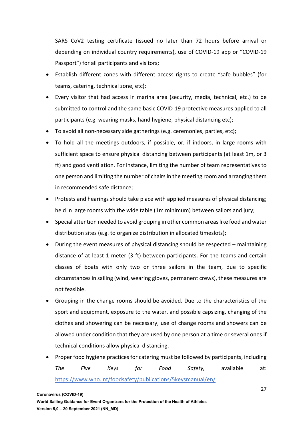SARS CoV2 testing certificate (issued no later than 72 hours before arrival or depending on individual country requirements), use of COVID-19 app or "COVID-19 Passport") for all participants and visitors;

- Establish different zones with different access rights to create "safe bubbles" (for teams, catering, technical zone, etc);
- Every visitor that had access in marina area (security, media, technical, etc.) to be submitted to control and the same basic COVID-19 protective measures applied to all participants (e.g. wearing masks, hand hygiene, physical distancing etc);
- To avoid all non-necessary side gatherings (e.g. ceremonies, parties, etc);
- To hold all the meetings outdoors, if possible, or, if indoors, in large rooms with sufficient space to ensure physical distancing between participants (at least 1m, or 3 ft) and good ventilation. For instance, limiting the number of team representatives to one person and limiting the number of chairs in the meeting room and arranging them in recommended safe distance;
- Protests and hearings should take place with applied measures of physical distancing; held in large rooms with the wide table (1m minimum) between sailors and jury;
- Special attention needed to avoid grouping in other common areaslike food and water distribution sites (e.g. to organize distribution in allocated timeslots);
- During the event measures of physical distancing should be respected maintaining distance of at least 1 meter (3 ft) between participants. For the teams and certain classes of boats with only two or three sailors in the team, due to specific circumstances in sailing (wind, wearing gloves, permanent crews), these measures are not feasible.
- Grouping in the change rooms should be avoided. Due to the characteristics of the sport and equipment, exposure to the water, and possible capsizing, changing of the clothes and showering can be necessary, use of change rooms and showers can be allowed under condition that they are used by one person at a time or several ones if technical conditions allow physical distancing.
- Proper food hygiene practices for catering must be followed by participants, including *The Five Keys for Food Safety,* available at: https://www.who.int/foodsafety/publications/5keysmanual/en/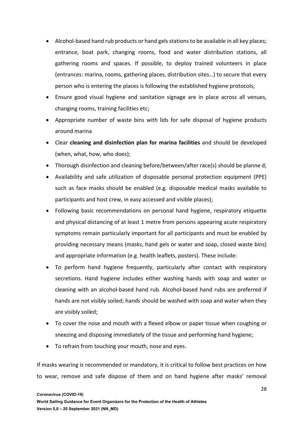- Alcohol-based hand rub products or hand gels stations to be available in all key places; entrance, boat park, changing rooms, food and water distribution stations, all gathering rooms and spaces. If possible, to deploy trained volunteers in place (entrances: marina, rooms, gathering places, distribution sites…) to secure that every person who is entering the places is following the established hygiene protocols;
- Ensure good visual hygiene and sanitation signage are in place across all venues, changing rooms, training facilities etc;
- Appropriate number of waste bins with lids for safe disposal of hygiene products around marina
- Clear **cleaning and disinfection plan for marina facilities** and should be developed (when, what, how, who does);
- Thorough disinfection and cleaning before/between/after race(s) should be planne d;
- Availability and safe utilization of disposable personal protection equipment (PPE) such as face masks should be enabled (e.g. disposable medical masks available to participants and host crew, in easy accessed and visible places);
- Following basic recommendations on personal hand hygiene, respiratory etiquette and physical distancing of at least 1 metre from persons appearing acute respiratory symptoms remain particularly important for all participants and must be enabled by providing necessary means (masks, hand gels or water and soap, closed waste bins) and appropriate information (e.g. health leaflets, posters). These include:
- To perform hand hygiene frequently, particularly after contact with respiratory secretions. Hand hygiene includes either washing hands with soap and water or cleaning with an alcohol-based hand rub. Alcohol-based hand rubs are preferred if hands are not visibly soiled; hands should be washed with soap and water when they are visibly soiled;
- To cover the nose and mouth with a flexed elbow or paper tissue when coughing or sneezing and disposing immediately of the tissue and performing hand hygiene;
- To refrain from touching your mouth, nose and eyes.

If masks wearing is recommended or mandatory, it is critical to follow best practices on how to wear, remove and safe dispose of them and on hand hygiene after masks' removal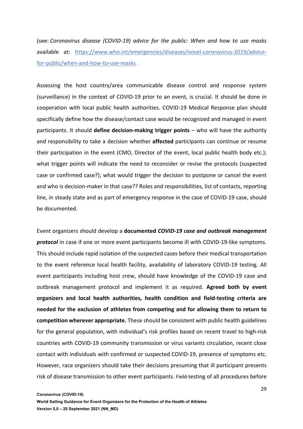(see: *Coronavirus disease (COVID-19) advice for the public: When and how to use masks* available at: https://www.who.int/emergencies/diseases/novel-coronavirus-2019/advicefor-public/when-and-how-to-use-masks .

Assessing the host country/area communicable disease control and response system (surveillance) in the context of COVID-19 prior to an event, is crucial. It should be done in cooperation with local public health authorities. COVID-19 Medical Response plan should specifically define how the disease/contact case would be recognized and managed in event participants. It should **define decision-making trigger points** – who will have the authority and responsibility to take a decision whether **affected** participants can continue or resume their participation in the event (CMO, Director of the event, local public health body etc.); what trigger points will indicate the need to reconsider or revise the protocols (suspected case or confirmed case?); what would trigger the decision to postpone or cancel the event and who is decision-maker in that case?? Roles and responsibilities, list of contacts, reporting line, in steady state and as part of emergency response in the case of COVID-19 case, should be documented.

Event organizers should develop a **documented** *COVID-19 case and outbreak management protocol* in case if one or more event participants become ill with COVID-19-like symptoms. This should include rapid isolation of the suspected cases before their medical transportation to the event reference local health facility, availability of laboratory COVID-19 testing. All event participants including host crew, should have knowledge of the COVID-19 case and outbreak management protocol and implement it as required. **Agreed both by event organizers and local health authorities, health condition and field-testing criteria are needed for the exclusion of athletes from competing and for allowing them to return to competition wherever appropriate.** These should be consistent with public health guidelines for the general population, with individual's risk profiles based on recent travel to high-risk countries with COVID-19 community transmission or virus variants circulation, recent close contact with individuals with confirmed or suspected COVID-19, presence of symptoms etc. However, race organizers should take their decisions presuming that ill participant presents risk of disease transmission to other event participants. Field-testing of all procedures before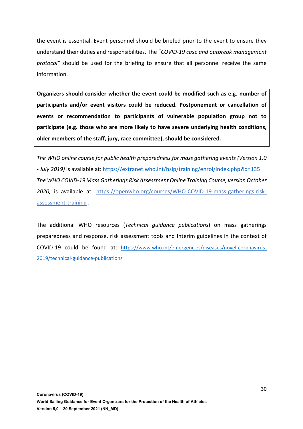the event is essential. Event personnel should be briefed prior to the event to ensure they understand their duties and responsibilities. The "*COVID-19 case and outbreak management protocol"* should be used for the briefing to ensure that all personnel receive the same information.

**Organizers should consider whether the event could be modified such as e.g. number of participants and/or event visitors could be reduced. Postponement or cancellation of events or recommendation to participants of vulnerable population group not to participate (e.g. those who are more likely to have severe underlying health conditions, older members of the staff, jury, race committee), should be considered.**

*The WHO online course for public health preparedness for mass gathering events (Version 1.0 - July 2019)* is available at: https://extranet.who.int/hslp/training/enrol/index.php?id=135 *The WHO COVID-19 Mass Gatherings Risk Assessment Online Training Course, version October 2020,* is available at: https://openwho.org/courses/WHO-COVID-19-mass-gatherings-riskassessment-training .

The additional WHO resources (*Technical guidance publications*) on mass gatherings preparedness and response, risk assessment tools and Interim guidelines in the context of COVID-19 could be found at: https://www.who.int/emergencies/diseases/novel-coronavirus-2019/technical-guidance-publications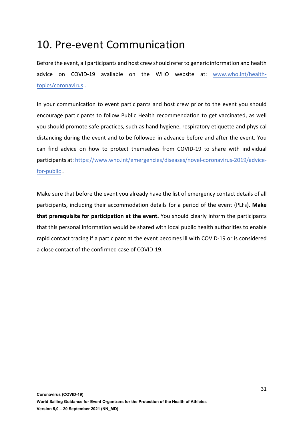### 10. Pre-event Communication

Before the event, all participants and host crew should refer to generic information and health advice on COVID-19 available on the WHO website at: www.who.int/healthtopics/coronavirus .

In your communication to event participants and host crew prior to the event you should encourage participants to follow Public Health recommendation to get vaccinated, as well you should promote safe practices, such as hand hygiene, respiratory etiquette and physical distancing during the event and to be followed in advance before and after the event. You can find advice on how to protect themselves from COVID-19 to share with individual participants at: https://www.who.int/emergencies/diseases/novel-coronavirus-2019/advicefor-public .

Make sure that before the event you already have the list of emergency contact details of all participants, including their accommodation details for a period of the event (PLFs). **Make that prerequisite for participation at the event.** You should clearly inform the participants that this personal information would be shared with local public health authorities to enable rapid contact tracing if a participant at the event becomes ill with COVID-19 or is considered a close contact of the confirmed case of COVID-19.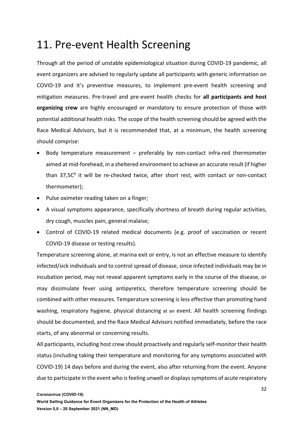### 11. Pre-event Health Screening

Through all the period of unstable epidemiological situation during COVID-19 pandemic, all event organizers are advised to regularly update all participants with generic information on COVID-19 and it's preventive measures, to implement pre-event health screening and mitigation measures. Pre-travel and pre-event health checks for **all participants and host organizing crew** are highly encouraged or mandatory to ensure protection of those with potential additional health risks. The scope of the health screening should be agreed with the Race Medical Advisors, but it is recommended that, at a minimum, the health screening should comprise:

- Body temperature measurement preferably by non-contact infra-red thermometer aimed at mid-forehead, in a sheltered environment to achieve an accurate result (if higher than  $37,5C<sup>0</sup>$  it will be re-checked twice, after short rest, with contact or non-contact thermometer);
- Pulse oximeter reading taken on a finger;
- A visual symptoms appearance, specifically shortness of breath during regular activities, dry cough, muscles pain, general malaise;
- Control of COVID-19 related medical documents (e.g. proof of vaccination or recent COVID-19 disease or testing results).

Temperature screening alone, at marina exit or entry, is not an effective measure to identify infected/sick individuals and to control spread of disease, since infected individuals may be in incubation period, may not reveal apparent symptoms early in the course of the disease, or may dissimulate fever using antipyretics, therefore temperature screening should be combined with other measures. Temperature screening is less effective than promoting hand washing, respiratory hygiene, physical distancing at an event. All health screening findings should be documented, and the Race Medical Advisors notified immediately, before the race starts, of any abnormal or concerning results.

All participants, including host crew should proactively and regularly self-monitor their health status (including taking their temperature and monitoring for any symptoms associated with COVID-19) 14 days before and during the event, also after returning from the event. Anyone due to participate in the event who is feeling unwell or displays symptoms of acute respiratory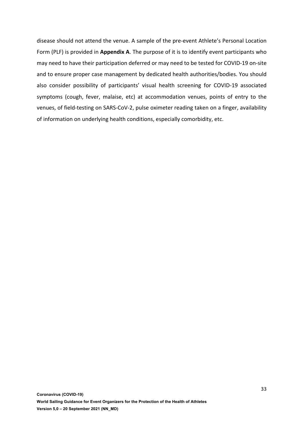disease should not attend the venue. A sample of the pre-event Athlete's Personal Location Form (PLF) is provided in **Appendix A**. The purpose of it is to identify event participants who may need to have their participation deferred or may need to be tested for COVID-19 on-site and to ensure proper case management by dedicated health authorities/bodies. You should also consider possibility of participants' visual health screening for COVID-19 associated symptoms (cough, fever, malaise, etc) at accommodation venues, points of entry to the venues, of field-testing on SARS-CoV-2, pulse oximeter reading taken on a finger, availability of information on underlying health conditions, especially comorbidity, etc.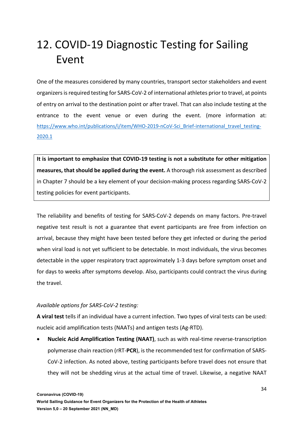# 12. COVID-19 Diagnostic Testing for Sailing Event

One of the measures considered by many countries, transport sector stakeholders and event organizers is required testing for SARS-CoV-2 of international athletes prior to travel, at points of entry on arrival to the destination point or after travel. That can also include testing at the entrance to the event venue or even during the event. (more information at: https://www.who.int/publications/i/item/WHO-2019-nCoV-Sci\_Brief-international\_travel\_testing-2020.1

**It is important to emphasize that COVID-19 testing is not a substitute for other mitigation measures, that should be applied during the event.** A thorough risk assessment as described in Chapter 7 should be a key element of your decision-making process regarding SARS-CoV-2 testing policies for event participants.

The reliability and benefits of testing for SARS-CoV-2 depends on many factors. Pre-travel negative test result is not a guarantee that event participants are free from infection on arrival, because they might have been tested before they get infected or during the period when viral load is not yet sufficient to be detectable. In most individuals, the virus becomes detectable in the upper respiratory tract approximately 1-3 days before symptom onset and for days to weeks after symptoms develop. Also, participants could contract the virus during the travel.

#### *Available options for SARS-CoV-2 testing:*

**A viral test** tells if an individual have a current infection. Two types of viral tests can be used: nucleic acid amplification tests (NAATs) and antigen tests (Ag-RTD).

• **Nucleic Acid Amplification Testing (NAAT)**, such as with real-time reverse-transcription polymerase chain reaction (rRT-**PCR**), is the recommended test for confirmation of SARS-CoV-2 infection. As noted above, testing participants before travel does not ensure that they will not be shedding virus at the actual time of travel. Likewise, a negative NAAT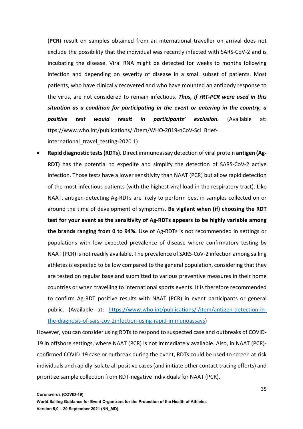(**PCR**) result on samples obtained from an international traveller on arrival does not exclude the possibility that the individual was recently infected with SARS-CoV-2 and is incubating the disease. Viral RNA might be detected for weeks to months following infection and depending on severity of disease in a small subset of patients. Most patients, who have clinically recovered and who have mounted an antibody response to the virus, are not considered to remain infectious. *Thus, if rRT-PCR were used in this situation as a condition for participating in the event or entering in the country, a positive test would result in participants' exclusion.* (Available at: ttps://www.who.int/publications/i/item/WHO-2019-nCoV-Sci\_Briefinternational travel testing-2020.1)

• **Rapid diagnostic tests (RDTs).** Direct immunoassay detection of viral protein **antigen (Ag-RDT)** has the potential to expedite and simplify the detection of SARS-CoV-2 active infection. Those tests have a lower sensitivity than NAAT (PCR) but allow rapid detection of the most infectious patients (with the highest viral load in the respiratory tract). Like NAAT, antigen-detecting Ag-RDTs are likely to perform best in samples collected on or around the time of development of symptoms. **Be vigilant when (if) choosing the RDT test for your event as the sensitivity of Ag-RDTs appears to be highly variable among the brands ranging from 0 to 94%.** Use of Ag-RDTs is not recommended in settings or populations with low expected prevalence of disease where confirmatory testing by NAAT (PCR) is not readily available. The prevalence of SARS-CoV-2 infection among sailing athletes is expected to be low compared to the general population, considering that they are tested on regular base and submitted to various preventive measures in their home countries or when travelling to international sports events. It is therefore recommended to confirm Ag-RDT positive results with NAAT (PCR) in event participants or general public. (Available at: https://www.who.int/publications/i/item/antigen-detection-inthe-diagnosis-of-sars-cov-2infection-using-rapid-immunoassays)

However, you can consider using RDTs to respond to suspected case and outbreaks of COVID-19 in offshore settings, where NAAT (PCR) is not immediately available. Also, in NAAT (PCR) confirmed COVID-19 case or outbreak during the event, RDTs could be used to screen at-risk individuals and rapidly isolate all positive cases (and initiate other contact tracing efforts) and prioritize sample collection from RDT-negative individuals for NAAT (PCR).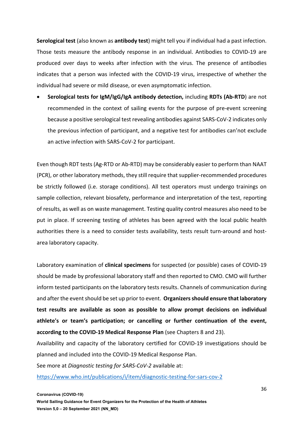**Serological test** (also known as **antibody test**) might tell you if individual had a past infection. Those tests measure the antibody response in an individual. Antibodies to COVID-19 are produced over days to weeks after infection with the virus. The presence of antibodies indicates that a person was infected with the COVID-19 virus, irrespective of whether the individual had severe or mild disease, or even asymptomatic infection.

• **Serological tests for IgM/IgG/IgA antibody detection,** including **RDTs (Ab-RTD**) are not recommended in the context of sailing events for the purpose of pre-event screening because a positive serological test revealing antibodies against SARS-CoV-2 indicates only the previous infection of participant, and a negative test for antibodies can'not exclude an active infection with SARS-CoV-2 for participant.

Even though RDT tests (Ag-RTD or Ab-RTD) may be considerably easier to perform than NAAT (PCR), or other laboratory methods, they still require that supplier-recommended procedures be strictly followed (i.e. storage conditions). All test operators must undergo trainings on sample collection, relevant biosafety, performance and interpretation of the test, reporting of results, as well as on waste management. Testing quality control measures also need to be put in place. If screening testing of athletes has been agreed with the local public health authorities there is a need to consider tests availability, tests result turn-around and hostarea laboratory capacity.

Laboratory examination of **clinical specimens** for suspected (or possible) cases of COVID-19 should be made by professional laboratory staff and then reported to CMO. CMO will further inform tested participants on the laboratory tests results. Channels of communication during and after the event should be set up prior to event. **Organizers should ensure that laboratory test results are available as soon as possible to allow prompt decisions on individual athlete's or team's participation; or cancelling or further continuation of the event, according to the COVID-19 Medical Response Plan** (see Chapters 8 and 23).

Availability and capacity of the laboratory certified for COVID-19 investigations should be planned and included into the COVID-19 Medical Response Plan.

See more at *Diagnostic testing for SARS-CoV-2* available at:

https://www.who.int/publications/i/item/diagnostic-testing-for-sars-cov-2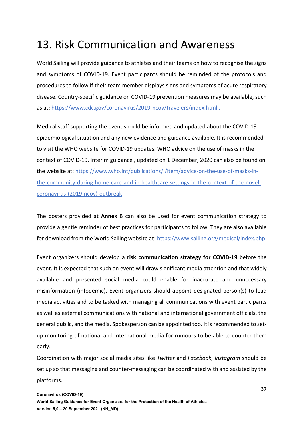### 13. Risk Communication and Awareness

World Sailing will provide guidance to athletes and their teams on how to recognise the signs and symptoms of COVID-19. Event participants should be reminded of the protocols and procedures to follow if their team member displays signs and symptoms of acute respiratory disease. Country-specific guidance on COVID-19 prevention measures may be available, such as at: https://www.cdc.gov/coronavirus/2019-ncov/travelers/index.html .

Medical staff supporting the event should be informed and updated about the COVID-19 epidemiological situation and any new evidence and guidance available. It is recommended to visit the WHO website for COVID-19 updates. WHO advice on the use of masks in the context of COVID-19. Interim guidance , updated on 1 December, 2020 can also be found on the website at: https://www.who.int/publications/i/item/advice-on-the-use-of-masks-inthe-community-during-home-care-and-in-healthcare-settings-in-the-context-of-the-novelcoronavirus-(2019-ncov)-outbreak

The posters provided at **Annex** B can also be used for event communication strategy to provide a gentle reminder of best practices for participants to follow. They are also available for download from the World Sailing website at: https://www.sailing.org/medical/index.php.

Event organizers should develop a **risk communication strategy for COVID-19** before the event. It is expected that such an event will draw significant media attention and that widely available and presented social media could enable for inaccurate and unnecessary misinformation (infodemic). Event organizers should appoint designated person(s) to lead media activities and to be tasked with managing all communications with event participants as well as external communications with national and international government officials, the general public, and the media. Spokesperson can be appointed too. It is recommended to setup monitoring of national and international media for rumours to be able to counter them early.

Coordination with major social media sites like *Twitter* and *Facebook*, *Instagram* should be set up so that messaging and counter-messaging can be coordinated with and assisted by the platforms.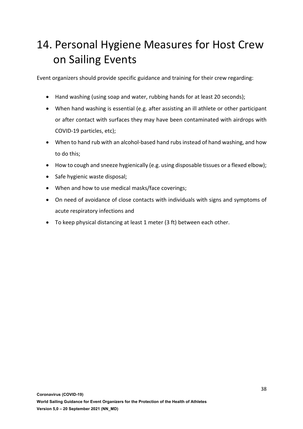# 14. Personal Hygiene Measures for Host Crew on Sailing Events

Event organizers should provide specific guidance and training for their crew regarding:

- Hand washing (using soap and water, rubbing hands for at least 20 seconds);
- When hand washing is essential (e.g. after assisting an ill athlete or other participant or after contact with surfaces they may have been contaminated with airdrops with COVID-19 particles, etc);
- When to hand rub with an alcohol-based hand rubs instead of hand washing, and how to do this;
- How to cough and sneeze hygienically (e.g. using disposable tissues or a flexed elbow);
- Safe hygienic waste disposal;
- When and how to use medical masks/face coverings;
- On need of avoidance of close contacts with individuals with signs and symptoms of acute respiratory infections and
- To keep physical distancing at least 1 meter (3 ft) between each other.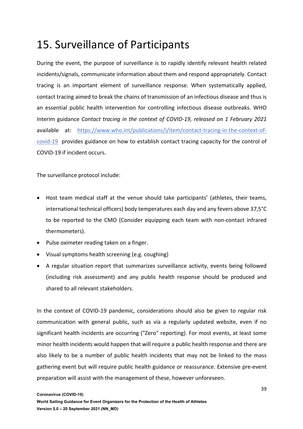# 15. Surveillance of Participants

During the event, the purpose of surveillance is to rapidly identify relevant health related incidents/signals, communicate information about them and respond appropriately. Contact tracing is an important element of surveillance response. When systematically applied, contact tracing aimed to break the chains of transmission of an infectious disease and thus is an essential public health intervention for controlling infectious disease outbreaks. WHO Interim guidance *Contact tracing in the context of COVID-19, released on 1 February 2021* available at: https://www.who.int/publications/i/item/contact-tracing-in-the-context-ofcovid-19 provides guidance on how to establish contact tracing capacity for the control of COVID-19 if incident occurs.

The surveillance protocol include:

- Host team medical staff at the venue should take participants' (athletes, their teams, international technical officers) body temperatures each day and any fevers above 37,5°C to be reported to the CMO (Consider equipping each team with non-contact infrared thermometers).
- Pulse oximeter reading taken on a finger.
- Visual symptoms health screening (e.g. coughing)
- A regular situation report that summarizes surveillance activity, events being followed (including risk assessment) and any public health response should be produced and shared to all relevant stakeholders.

In the context of COVID-19 pandemic, considerations should also be given to regular risk communication with general public, such as via a regularly updated website, even if no significant health incidents are occurring ("Zero" reporting). For most events, at least some minor health incidents would happen that will require a public health response and there are also likely to be a number of public health incidents that may not be linked to the mass gathering event but will require public health guidance or reassurance. Extensive pre-event preparation will assist with the management of these, however unforeseen.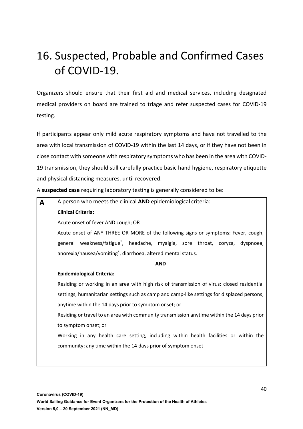# 16. Suspected, Probable and Confirmed Cases of COVID-19.

Organizers should ensure that their first aid and medical services, including designated medical providers on board are trained to triage and refer suspected cases for COVID-19 testing.

If participants appear only mild acute respiratory symptoms and have not travelled to the area with local transmission of COVID-19 within the last 14 days, or if they have not been in close contact with someone with respiratory symptoms who has been in the area with COVID-19 transmission, they should still carefully practice basic hand hygiene, respiratory etiquette and physical distancing measures, until recovered.

A **suspected case** requiring laboratory testing is generally considered to be:

| A | A person who meets the clinical AND epidemiological criteria:                              |  |  |
|---|--------------------------------------------------------------------------------------------|--|--|
|   | <b>Clinical Criteria:</b>                                                                  |  |  |
|   | Acute onset of fever AND cough; OR                                                         |  |  |
|   | Acute onset of ANY THREE OR MORE of the following signs or symptoms: Fever, cough,         |  |  |
|   | general weakness/fatigue <sup>*</sup> , headache, myalgia, sore throat, coryza, dyspnoea,  |  |  |
|   | anorexia/nausea/vomiting <sup>*</sup> , diarrhoea, altered mental status.                  |  |  |
|   | <b>AND</b>                                                                                 |  |  |
|   | <b>Epidemiological Criteria:</b>                                                           |  |  |
|   | Residing or working in an area with high risk of transmission of virus: closed residential |  |  |
|   | settings, humanitarian settings such as camp and camp-like settings for displaced persons; |  |  |
|   | anytime within the 14 days prior to symptom onset; or                                      |  |  |
|   | Residing or travel to an area with community transmission anytime within the 14 days prior |  |  |
|   | to symptom onset; or                                                                       |  |  |
|   | Working in any health care setting, including within health facilities or within the       |  |  |
|   | community; any time within the 14 days prior of symptom onset                              |  |  |
|   |                                                                                            |  |  |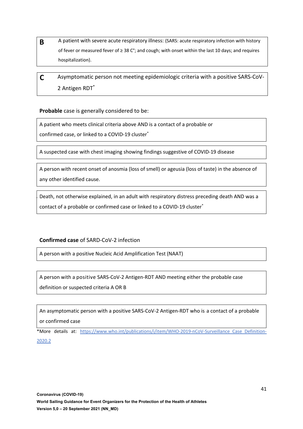- **B** A patient with severe acute respiratory illness: (SARS: acute respiratory infection with history of fever or measured fever of ≥ 38 C°; and cough; with onset within the last 10 days; and requires hospitalization).
- **B C C** Asymptomatic person not meeting epidemiologic criteria with a positive SARS-CoV-2 Antigen RDT\*

**Probable** case is generally considered to be:

**A.** A patient who meets clinical criteria above AND is a contact of a probable or

confirmed case, or linked to a COVID-19 cluster\*

**B.** A suspected case with chest imaging showing findings suggestive of COVID-19 disease

**C.** A person with recent onset of anosmia (loss of smell) or ageusia (loss of taste) in the absence of any other identified cause.

**D.** Death, not otherwise explained, in an adult with respiratory distress preceding death AND was a contact of a probable or confirmed case or linked to a COVID-19 cluster\*

#### **Confirmed case** of SARD-CoV-2 infection

**A.** A person with a positive Nucleic Acid Amplification Test (NAAT)

**B.** A person with a positive SARS-CoV-2 Antigen-RDT AND meeting either the probable case definition or suspected criteria A OR B

**C.** An asymptomatic person with a positive SARS-CoV-2 Antigen-RDT who is a contact of a probable or confirmed case

\*More details at: https://www.who.int/publications/i/item/WHO-2019-nCoV-Surveillance\_Case\_Definition-2020.2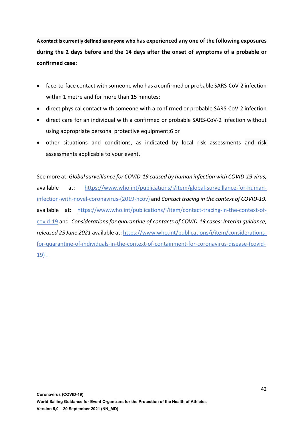**A contact is currently defined as anyone who has experienced any one of the following exposures during the 2 days before and the 14 days after the onset of symptoms of a probable or confirmed case:**

- face-to-face contact with someone who has a confirmed or probable SARS-CoV-2 infection within 1 metre and for more than 15 minutes;
- direct physical contact with someone with a confirmed or probable SARS-CoV-2 infection
- direct care for an individual with a confirmed or probable SARS-CoV-2 infection without using appropriate personal protective equipment;6 or
- other situations and conditions, as indicated by local risk assessments and risk assessments applicable to your event.

See more at: *Global surveillance for COVID-19 caused by human infection with COVID-19 virus,*  available at: https://www.who.int/publications/i/item/global-surveillance-for-humaninfection-with-novel-coronavirus-(2019-ncov) and *Contact tracing in the context of COVID-19,*  available at: https://www.who.int/publications/i/item/contact-tracing-in-the-context-ofcovid-19 and *Considerations for quarantine of contacts of COVID-19 cases: Interim guidance, released 25 June 2021* available at: https://www.who.int/publications/i/item/considerationsfor-quarantine-of-individuals-in-the-context-of-containment-for-coronavirus-disease-(covid-19) .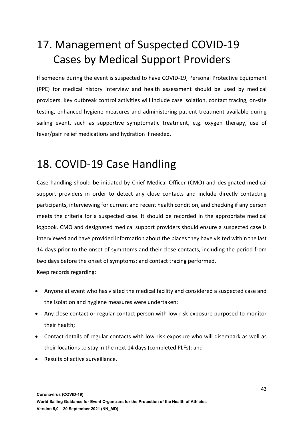# 17. Management of Suspected COVID-19 Cases by Medical Support Providers

If someone during the event is suspected to have COVID-19, Personal Protective Equipment (PPE) for medical history interview and health assessment should be used by medical providers. Key outbreak control activities will include case isolation, contact tracing, on-site testing, enhanced hygiene measures and administering patient treatment available during sailing event, such as supportive symptomatic treatment, e.g. oxygen therapy, use of fever/pain relief medications and hydration if needed.

### 18. COVID-19 Case Handling

Case handling should be initiated by Chief Medical Officer (CMO) and designated medical support providers in order to detect any close contacts and include directly contacting participants, interviewing for current and recent health condition, and checking if any person meets the criteria for a suspected case. It should be recorded in the appropriate medical logbook. CMO and designated medical support providers should ensure a suspected case is interviewed and have provided information about the places they have visited within the last 14 days prior to the onset of symptoms and their close contacts, including the period from two days before the onset of symptoms; and contact tracing performed. Keep records regarding:

- Anyone at event who has visited the medical facility and considered a suspected case and the isolation and hygiene measures were undertaken;
- Any close contact or regular contact person with low-risk exposure purposed to monitor their health;
- Contact details of regular contacts with low-risk exposure who will disembark as well as their locations to stay in the next 14 days (completed PLFs); and
- Results of active surveillance.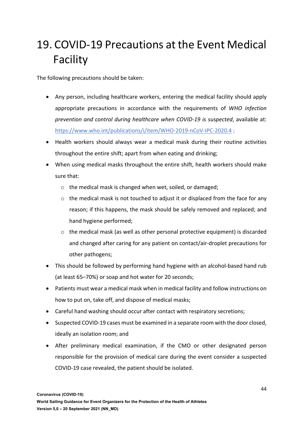# 19. COVID-19 Precautions at the Event Medical Facility

The following precautions should be taken:

- Any person, including healthcare workers, entering the medical facility should apply appropriate precautions in accordance with the requirements of *WHO infection prevention and control during healthcare when COVID-19 is suspected*, available at: https://www.who.int/publications/i/item/WHO-2019-nCoV-IPC-2020.4 ;
- Health workers should always wear a medical mask during their routine activities throughout the entire shift; apart from when eating and drinking;
- When using medical masks throughout the entire shift, health workers should make sure that:
	- o the medical mask is changed when wet, soiled, or damaged;
	- $\circ$  the medical mask is not touched to adjust it or displaced from the face for any reason; if this happens, the mask should be safely removed and replaced; and hand hygiene performed;
	- $\circ$  the medical mask (as well as other personal protective equipment) is discarded and changed after caring for any patient on contact/air-droplet precautions for other pathogens;
- This should be followed by performing hand hygiene with an alcohol-based hand rub (at least 65–70%) or soap and hot water for 20 seconds;
- Patients must wear a medical mask when in medical facility and follow instructions on how to put on, take off, and dispose of medical masks;
- Careful hand washing should occur after contact with respiratory secretions;
- Suspected COVID-19 cases must be examined in a separate room with the door closed, ideally an isolation room; and
- After preliminary medical examination, if the CMO or other designated person responsible for the provision of medical care during the event consider a suspected COVID-19 case revealed, the patient should be isolated.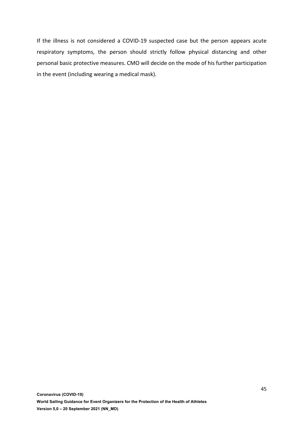If the illness is not considered a COVID-19 suspected case but the person appears acute respiratory symptoms, the person should strictly follow physical distancing and other personal basic protective measures. CMO will decide on the mode of his further participation in the event (including wearing a medical mask).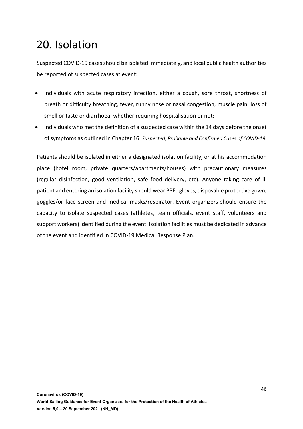## 20. Isolation

Suspected COVID-19 cases should be isolated immediately, and local public health authorities be reported of suspected cases at event:

- Individuals with acute respiratory infection, either a cough, sore throat, shortness of breath or difficulty breathing, fever, runny nose or nasal congestion, muscle pain, loss of smell or taste or diarrhoea, whether requiring hospitalisation or not;
- Individuals who met the definition of a suspected case within the 14 days before the onset of symptoms as outlined in Chapter 16: *Suspected, Probable and Confirmed Cases of COVID-19.*

Patients should be isolated in either a designated isolation facility, or at his accommodation place (hotel room, private quarters/apartments/houses) with precautionary measures (regular disinfection, good ventilation, safe food delivery, etc). Anyone taking care of ill patient and entering an isolation facility should wear PPE: gloves, disposable protective gown, goggles/or face screen and medical masks/respirator. Event organizers should ensure the capacity to isolate suspected cases (athletes, team officials, event staff, volunteers and support workers) identified during the event. Isolation facilities must be dedicated in advance of the event and identified in COVID-19 Medical Response Plan.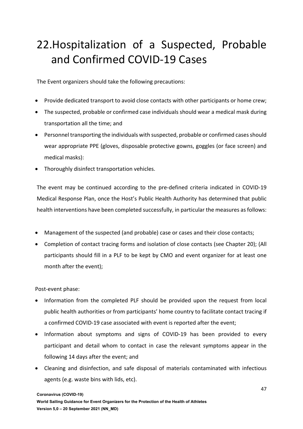# 22.Hospitalization of a Suspected, Probable and Confirmed COVID-19 Cases

The Event organizers should take the following precautions:

- Provide dedicated transport to avoid close contacts with other participants or home crew;
- The suspected, probable or confirmed case individuals should wear a medical mask during transportation all the time; and
- Personnel transporting the individuals with suspected, probable or confirmed cases should wear appropriate PPE (gloves, disposable protective gowns, goggles (or face screen) and medical masks):
- Thoroughly disinfect transportation vehicles.

The event may be continued according to the pre-defined criteria indicated in COVID-19 Medical Response Plan, once the Host's Public Health Authority has determined that public health interventions have been completed successfully, in particular the measures as follows:

- Management of the suspected (and probable) case or cases and their close contacts;
- Completion of contact tracing forms and isolation of close contacts (see Chapter 20); (All participants should fill in a PLF to be kept by CMO and event organizer for at least one month after the event);

Post-event phase:

- Information from the completed PLF should be provided upon the request from local public health authorities or from participants' home country to facilitate contact tracing if a confirmed COVID-19 case associated with event is reported after the event;
- Information about symptoms and signs of COVID-19 has been provided to every participant and detail whom to contact in case the relevant symptoms appear in the following 14 days after the event; and
- Cleaning and disinfection, and safe disposal of materials contaminated with infectious agents (e.g. waste bins with lids, etc).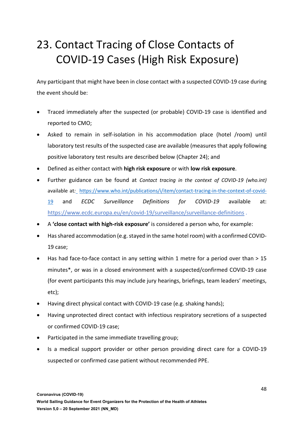# 23. Contact Tracing of Close Contacts of COVID-19 Cases (High Risk Exposure)

Any participant that might have been in close contact with a suspected COVID-19 case during the event should be:

- Traced immediately after the suspected (or probable) COVID-19 case is identified and reported to CMO;
- Asked to remain in self-isolation in his accommodation place (hotel /room) until laboratory test results of the suspected case are available (measures that apply following positive laboratory test results are described below (Chapter 24); and
- Defined as either contact with **high risk exposure** or with **low risk exposure**.
- Further guidance can be found at *Contact tracing in the context of COVID-19 (who.int)*  available at*:* https://www.who.int/publications/i/item/contact-tracing-in-the-context-of-covid-19 and *ECDC Surveillance Definitions for COVID-19* available at: https://www.ecdc.europa.eu/en/covid-19/surveillance/surveillance-definitions .
- A **'close contact with high-risk exposure'** is considered a person who, for example:
- Hasshared accommodation (e.g. stayed in the same hotel room) with a confirmed COVID-19 case;
- Has had face-to-face contact in any setting within 1 metre for a period over than > 15 minutes\*, or was in a closed environment with a suspected/confirmed COVID-19 case (for event participants this may include jury hearings, briefings, team leaders' meetings, etc);
- Having direct physical contact with COVID-19 case (e.g. shaking hands);
- Having unprotected direct contact with infectious respiratory secretions of a suspected or confirmed COVID-19 case;
- Participated in the same immediate travelling group;
- Is a medical support provider or other person providing direct care for a COVID-19 suspected or confirmed case patient without recommended PPE.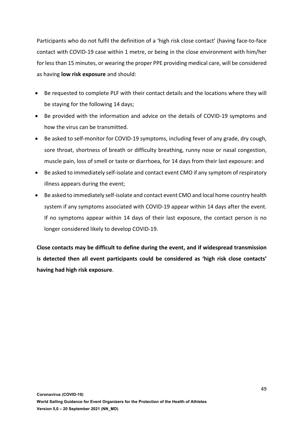Participants who do not fulfil the definition of a 'high risk close contact' (having face-to-face contact with COVID-19 case within 1 metre, or being in the close environment with him/her for less than 15 minutes, or wearing the proper PPE providing medical care, will be considered as having **low risk exposure** and should:

- Be requested to complete PLF with their contact details and the locations where they will be staying for the following 14 days;
- Be provided with the information and advice on the details of COVID-19 symptoms and how the virus can be transmitted.
- Be asked to self-monitor for COVID-19 symptoms, including fever of any grade, dry cough, sore throat, shortness of breath or difficulty breathing, runny nose or nasal congestion, muscle pain, loss of smell or taste or diarrhoea, for 14 days from their last exposure: and
- Be asked to immediately self-isolate and contact event CMO if any symptom of respiratory illness appears during the event;
- Be asked to immediately self-isolate and contact event CMO and local home country health system if any symptoms associated with COVID-19 appear within 14 days after the event. If no symptoms appear within 14 days of their last exposure, the contact person is no longer considered likely to develop COVID-19.

**Close contacts may be difficult to define during the event, and if widespread transmission is detected then all event participants could be considered as 'high risk close contacts' having had high risk exposure**.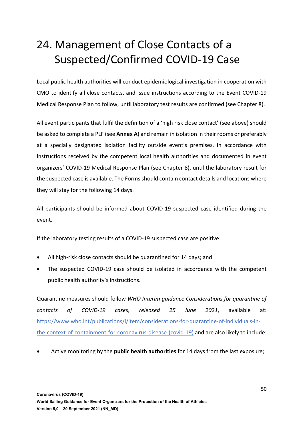# 24. Management of Close Contacts of a Suspected/Confirmed COVID-19 Case

Local public health authorities will conduct epidemiological investigation in cooperation with CMO to identify all close contacts, and issue instructions according to the Event COVID-19 Medical Response Plan to follow, until laboratory test results are confirmed (see Chapter 8).

All event participants that fulfil the definition of a 'high risk close contact' (see above) should be asked to complete a PLF (see **Annex A**) and remain in isolation in their rooms or preferably at a specially designated isolation facility outside event's premises, in accordance with instructions received by the competent local health authorities and documented in event organizers' COVID-19 Medical Response Plan (see Chapter 8), until the laboratory result for the suspected case is available. The Forms should contain contact details and locations where they will stay for the following 14 days.

All participants should be informed about COVID-19 suspected case identified during the event.

If the laboratory testing results of a COVID-19 suspected case are positive:

- All high-risk close contacts should be quarantined for 14 days; and
- The suspected COVID-19 case should be isolated in accordance with the competent public health authority's instructions.

Quarantine measures should follow *WHO Interim guidance Considerations for quarantine of contacts of COVID-19 cases, released 25 June 2021*, available at: https://www.who.int/publications/i/item/considerations-for-quarantine-of-individuals-inthe-context-of-containment-for-coronavirus-disease-(covid-19) and are also likely to include:

• Active monitoring by the **public health authorities** for 14 days from the last exposure;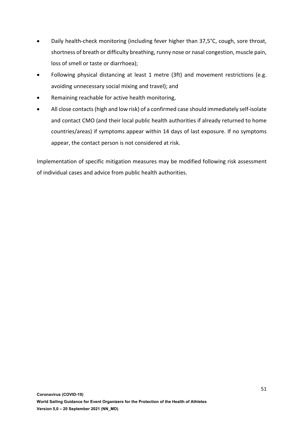- Daily health-check monitoring (including fever higher than 37,5°C, cough, sore throat, shortness of breath or difficulty breathing, runny nose or nasal congestion, muscle pain, loss of smell or taste or diarrhoea);
- Following physical distancing at least 1 metre (3ft) and movement restrictions (e.g. avoiding unnecessary social mixing and travel); and
- Remaining reachable for active health monitoring,
- All close contacts (high and low risk) of a confirmed case should immediately self-isolate and contact CMO (and their local public health authorities if already returned to home countries/areas) if symptoms appear within 14 days of last exposure. If no symptoms appear, the contact person is not considered at risk.

Implementation of specific mitigation measures may be modified following risk assessment of individual cases and advice from public health authorities.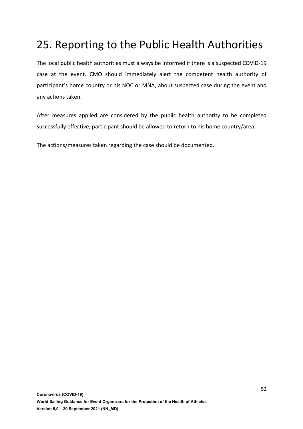# 25. Reporting to the Public Health Authorities

The local public health authorities must always be informed if there is a suspected COVID-19 case at the event. CMO should immediately alert the competent health authority of participant's home country or his NOC or MNA, about suspected case during the event and any actions taken.

After measures applied are considered by the public health authority to be completed successfully effective, participant should be allowed to return to his home country/area.

The actions/measures taken regarding the case should be documented.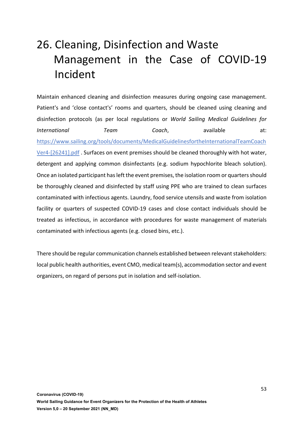# 26. Cleaning, Disinfection and Waste Management in the Case of COVID-19 Incident

Maintain enhanced cleaning and disinfection measures during ongoing case management. Patient's and 'close contact's' rooms and quarters, should be cleaned using cleaning and disinfection protocols (as per local regulations or *World Sailing Medical Guidelines for International* **Team** Coach, available at: https://www.sailing.org/tools/documents/MedicalGuidelinesfortheInternationalTeamCoach Ver4-[26241].pdf . Surfaces on event premises should be cleaned thoroughly with hot water, detergent and applying common disinfectants (e.g. sodium hypochlorite bleach solution). Once an isolated participant has left the event premises, the isolation room or quarters should be thoroughly cleaned and disinfected by staff using PPE who are trained to clean surfaces contaminated with infectious agents. Laundry, food service utensils and waste from isolation facility or quarters of suspected COVID-19 cases and close contact individuals should be treated as infectious, in accordance with procedures for waste management of materials contaminated with infectious agents (e.g. closed bins, etc.).

There should be regular communication channels established between relevant stakeholders: local public health authorities, event CMO, medical team(s), accommodation sector and event organizers, on regard of persons put in isolation and self-isolation.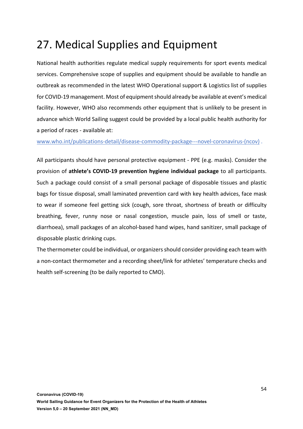# 27. Medical Supplies and Equipment

National health authorities regulate medical supply requirements for sport events medical services. Comprehensive scope of supplies and equipment should be available to handle an outbreak as recommended in the latest WHO Operational support & Logistics list of supplies for COVID-19 management. Most of equipment should already be available at event's medical facility. However, WHO also recommends other equipment that is unlikely to be present in advance which World Sailing suggest could be provided by a local public health authority for a period of races - available at:

www.who.int/publications-detail/disease-commodity-package---novel-coronavirus-(ncov) .

All participants should have personal protective equipment - PPE (e.g. masks). Consider the provision of **athlete's COVID-19 prevention hygiene individual package** to all participants. Such a package could consist of a small personal package of disposable tissues and plastic bags for tissue disposal, small laminated prevention card with key health advices, face mask to wear if someone feel getting sick (cough, sore throat, shortness of breath or difficulty breathing, fever, runny nose or nasal congestion, muscle pain, loss of smell or taste, diarrhoea), small packages of an alcohol-based hand wipes, hand sanitizer, small package of disposable plastic drinking cups.

The thermometer could be individual, or organizers should consider providing each team with a non-contact thermometer and a recording sheet/link for athletes' temperature checks and health self-screening (to be daily reported to CMO).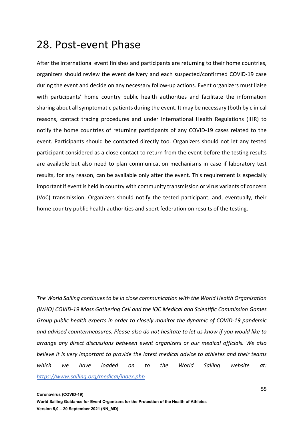### 28. Post-event Phase

After the international event finishes and participants are returning to their home countries, organizers should review the event delivery and each suspected/confirmed COVID-19 case during the event and decide on any necessary follow-up actions. Event organizers must liaise with participants' home country public health authorities and facilitate the information sharing about all symptomatic patients during the event. It may be necessary (both by clinical reasons, contact tracing procedures and under International Health Regulations (IHR) to notify the home countries of returning participants of any COVID-19 cases related to the event. Participants should be contacted directly too. Organizers should not let any tested participant considered as a close contact to return from the event before the testing results are available but also need to plan communication mechanisms in case if laboratory test results, for any reason, can be available only after the event. This requirement is especially important if event is held in country with community transmission or virus variants of concern (VoC) transmission. Organizers should notify the tested participant, and, eventually, their home country public health authorities and sport federation on results of the testing.

*The World Sailing continues to be in close communication with the World Health Organisation (WHO) COVID-19 Mass Gathering Cell and the IOC Medical and Scientific Commission Games Group public health experts in order to closely monitor the dynamic of COVID-19 pandemic and advised countermeasures. Please also do not hesitate to let us know if you would like to arrange any direct discussions between event organizers or our medical officials. We also believe it is very important to provide the latest medical advice to athletes and their teams which we have loaded on to the World Sailing website at: https://www.sailing.org/medical/index.php*